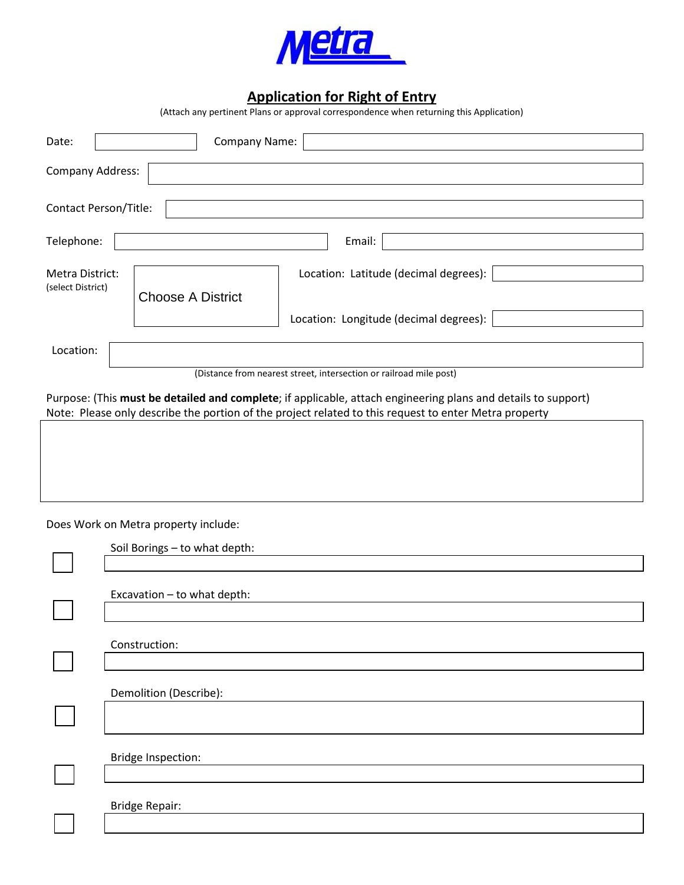

## **Application for Right of Entry**

(Attach any pertinent Plans or approval correspondence when returning this Application)

| Date:                                                                                                                                                                                                                                                                                        | Company Name:                                                     |
|----------------------------------------------------------------------------------------------------------------------------------------------------------------------------------------------------------------------------------------------------------------------------------------------|-------------------------------------------------------------------|
| <b>Company Address:</b>                                                                                                                                                                                                                                                                      |                                                                   |
| Contact Person/Title:                                                                                                                                                                                                                                                                        |                                                                   |
| Telephone:                                                                                                                                                                                                                                                                                   | Email:                                                            |
| Metra District:<br>(select District)                                                                                                                                                                                                                                                         | Location: Latitude (decimal degrees):<br><b>Choose A District</b> |
|                                                                                                                                                                                                                                                                                              | Location: Longitude (decimal degrees):                            |
| Location:                                                                                                                                                                                                                                                                                    |                                                                   |
| (Distance from nearest street, intersection or railroad mile post)<br>Purpose: (This must be detailed and complete; if applicable, attach engineering plans and details to support)<br>Note: Please only describe the portion of the project related to this request to enter Metra property |                                                                   |
|                                                                                                                                                                                                                                                                                              |                                                                   |
|                                                                                                                                                                                                                                                                                              |                                                                   |
| Does Work on Metra property include:                                                                                                                                                                                                                                                         |                                                                   |
|                                                                                                                                                                                                                                                                                              | Soil Borings - to what depth:                                     |
|                                                                                                                                                                                                                                                                                              | Excavation - to what depth:                                       |
|                                                                                                                                                                                                                                                                                              | Construction:                                                     |
|                                                                                                                                                                                                                                                                                              | Demolition (Describe):                                            |
|                                                                                                                                                                                                                                                                                              | <b>Bridge Inspection:</b>                                         |
|                                                                                                                                                                                                                                                                                              | <b>Bridge Repair:</b>                                             |